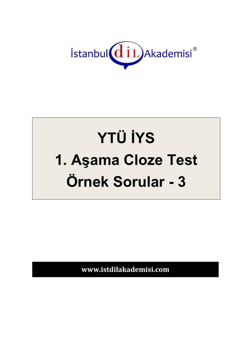

## **YTÜ İYS** 1. Aşama Cloze Test Örnek Sorular - 3

www.istdilakademisi.com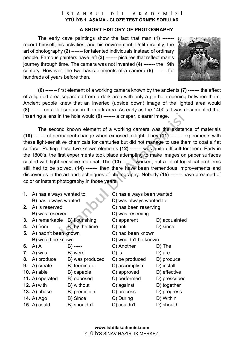## İSTANBUL DİL AKADEMİSİ **YTÜ İYS 1. AŞAMA - CLOZE TEST ÖRNEK SORULAR**

## **A SHORT HISTORY OF PHOTOGRAPHY**

The early cave paintings show the fact that man **(1)** ------ record himself, his activities, and his environment. Until recently, the art of photography **(2)** ------- for talented individuals instead of ordinary people. Famous painters have left **(3)** ------- pictures that reflect man's journey through time. The camera was not invented **(4)** ------- the 19th century. However, the two basic elements of a camera **(5)** ------- for hundreds of years before then.



**(6)** ------- first element of a working camera known by the ancients **(7)** ------- the effect of a lighted area separated from a dark area with only a pin-hole-opening between them. Ancient people knew that an inverted (upside down) image of the lighted area would **(8)** ------- on a flat surface in the dark area. As early as the 1400's it was documented that inserting a lens in the hole would **(9)** ------- a crisper, clearer image.

The second known element of a working camera was the existence of materials **(10)** ------- of permanent change when exposed to light. They **(11)** ------- experiments with these light-sensitive chemicals for centuries but did not manage to use them to coat a flat surface. Putting these two known elements **(12)** ------- was quite difficult for them. Early in the 1800's, the first experiments took place attempting to make images on paper surfaces coated with light-sensitive material. The **(13)** ------- worked, but a lot of logistical problems still had to be solved. **(14)** ------- then there have been tremendous improvements and discoveries in the art and techniques of photography. Nobody **(15)** ------- have dreamed of color or instant photography in those years.

| 1. | A) has always wanted to      |                 | C) has always been wanted |               |
|----|------------------------------|-----------------|---------------------------|---------------|
|    | B) has always wanted         |                 | D) was always wanted to   |               |
| 2. | A) is reserved               |                 | C) has been reserving     |               |
|    | B) was reserved              |                 | D) was reserving          |               |
| 3. | A) remarkable B) flourishing |                 | C) apparent               | D) acquainted |
| 4. | A) from<br>$\alpha$          | B) by the time  | C) until                  | D) since      |
| 5. | A) hadn't been known         |                 | C) had been known         |               |
|    | B) would be known            |                 | D) wouldn't be known      |               |
| 6. | A) A                         | B) -----        | C) Another                | D) The        |
| 7. | A) was                       | B) were         | $C$ ) is                  | $D)$ are      |
| 8. | A) produce                   | B) was produced | C) be produced            | D) produce    |
| 9. | A) create                    | B) terminate    | C) accomplish             | D) install    |
|    | 10. $A)$ able                | B) capable      | C) approved               | D) effective  |
|    | 11. A) operated              | B) opposed      | C) performed              | D) prescribed |
|    | 12. $A)$ with                | B) without      | C) against                | D) together   |
|    | 13. A) $phase$               | B) prediction   | C) process                | D) progress   |
|    | <b>14.</b> A) Ago            | B) Since        | C) During                 | D) Within     |

- **15.** A) could B) shouldn't C) couldn't D) should
- -
-